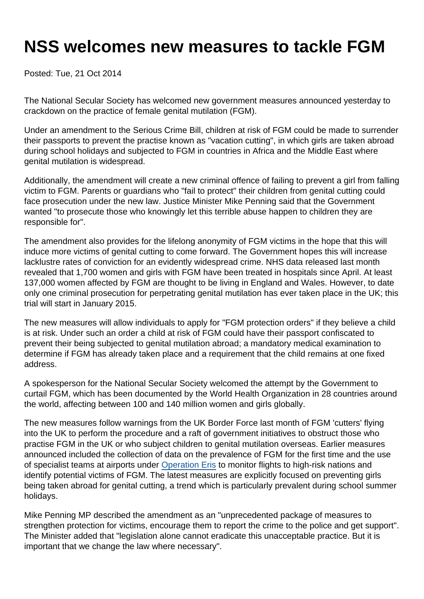## NSS welcomes new measures to tackle FGM

Posted: Tue, 21 Oct 2014

The National Secular Society has welcomed new government measures announced yesterday to crackdown on the practice of female genital mutilation (FGM).

Under an amendment to the Serious Crime Bill, children at risk of FGM could be made to surrender their passports to prevent the practise known as "vacation cutting", in which girls are taken abroad during school holidays and subjected to FGM in countries in Africa and the Middle East where genital mutilation is widespread.

Additionally, the amendment will create a new criminal offence of failing to prevent a girl from falling victim to FGM. Parents or guardians who "fail to protect" their children from genital cutting could face prosecution under the new law. Justice Minister Mike Penning said that the Government wanted "to prosecute those who knowingly let this terrible abuse happen to children they are responsible for".

The amendment also provides for the lifelong anonymity of FGM victims in the hope that this will induce more victims of genital cutting to come forward. The Government hopes this will increase lacklustre rates of conviction for an evidently widespread crime. NHS data released last month revealed that 1,700 women and girls with FGM have been treated in hospitals since April. At least 137,000 women affected by FGM are thought to be living in England and Wales. However, to date only one criminal prosecution for perpetrating genital mutilation has ever taken place in the UK; this trial will start in January 2015.

The new measures will allow individuals to apply for "FGM protection orders" if they believe a child is at risk. Under such an order a child at risk of FGM could have their passport confiscated to prevent their being subjected to genital mutilation abroad; a mandatory medical examination to determine if FGM has already taken place and a requirement that the child remains at one fixed address.

A spokesperson for the National Secular Society welcomed the attempt by the Government to curtail FGM, which has been documented by the World Health Organization in 28 countries around the world, affecting between 100 and 140 million women and girls globally.

The new measures follow warnings from the UK Border Force last month of FGM 'cutters' flying into the UK to perform the procedure and a raft of government initiatives to obstruct those who practise FGM in the UK or who subject children to genital mutilation overseas. Earlier measures announced included the collection of data on the prevalence of FGM for the first time and the use of specialist teams at airports under [Operation Eris](http://www.theguardian.com/society/2014/sep/10/fgm-cutters-flying-into-uk) to monitor flights to high-risk nations and identify potential victims of FGM. The latest measures are explicitly focused on preventing girls being taken abroad for genital cutting, a trend which is particularly prevalent during school summer holidays.

Mike Penning MP described the amendment as an "unprecedented package of measures to strengthen protection for victims, encourage them to report the crime to the police and get support". The Minister added that "legislation alone cannot eradicate this unacceptable practice. But it is important that we change the law where necessary".